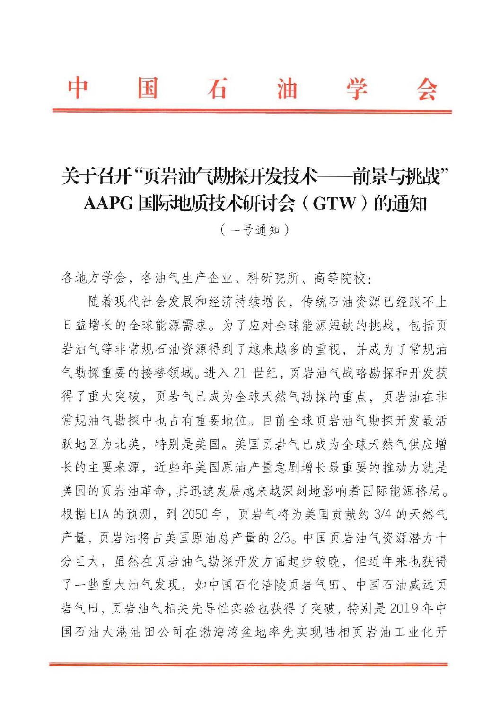# 关于召开"页岩油气勘探开发技术——前景与桃战" AAPG 国际地质技术研讨会 (GTW) 的通知

 $(-$ 号通知〕

各地方学会, 各油气生产企业、科研院所、高等院校:

随着现代社会发展和经济持续增长,传统石油资源已经跟不上 日益增长的全球能源需求。为了应对全球能源短缺的挑战,包括页 口血增长的全球肥麻需水。为J应对全球肥麻短缺的机战, 包括贝<br>岩油气等非常规石油资源得到了越来越多的重视, 并成为了常规油 气勘探重要的接替领域。进入21世纪,页岩油气战略勘探和开发获 得了重大突破, 页岩气已成为全球天然气勘探的重点, 页岩油在非 常规油气勘探中也占有重要地位。目前全球页岩油气勘探开发最活 跃地区为北美, 特别是美国。美国页岩气已成为全球天然气供应增 长的主要来源, 近些年美国原油产量急剧增长最重要的推动力就是 旳土安米脲, 妅些干夫国尿油广重忌剧增长取里安旳推切刀就走<br>国的页岩油革命,其迅速发展越来越深刻地影响着国际能源格局。 夫国的贝右油串命, 共迅速及展越米越深刻地影响看国际能源格*同*。<br>根据 EIA 的预测, 到 2050 年, 页岩气将为美国贡献约 3/4 的天然气 产量,页岩油将占美国原油总产量的2/3。中国页岩油气资源潜力十 分巨大, 虽然在页岩油气勘探开发方面起步较晚, 但近年来也获得 了一些重大油气发现,如中国石化涪陵页岩气田、中国石油威远页 岩气田, 页岩油气相关先导性实验也获得了突破, 特别是 2019年中 国石油大港油田公司在渤海湾盆地率先实现陆相页岩油工业化开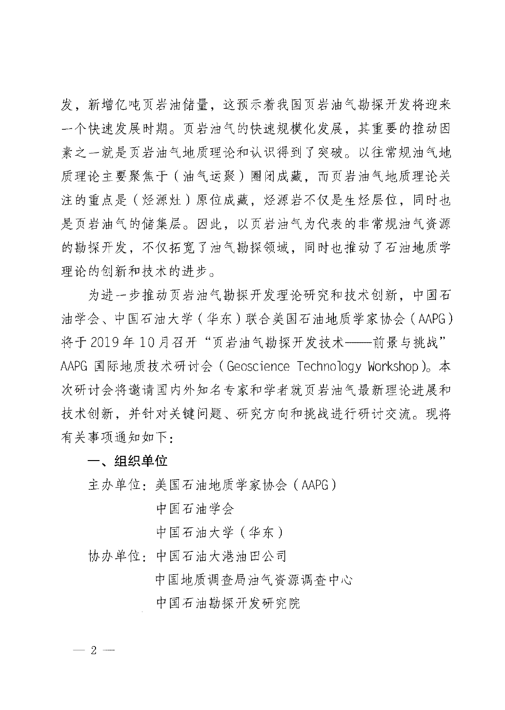发,新增亿吨页岩油储量,这预示着我国页岩油气勘探开发将迎来 一个快速发展时期。页岩油气的快速规模化发展, 其重要的推动因 素之一就是页岩油气地质理论和认识得到了突破。以往常规油气地 质理论主要聚焦于 (油气运聚) 圈闭成藏, 而页岩油气地质理论关 注的重点是(烃源灶)原位成藏,烃源岩不仅是生烃层位,同时也 是页岩油气的储集层。因此,以页岩油气为代表的非常规油气资源 的勘探开发,不仅拓宽了油气勘探领域,同时也推动了石油地质学 理论的创新和技术的进步。

的的新在议术的近少。<br>为进一步推动页岩油气勘探开发理论研究和技术创新,中国石 刀进一步推切贝右油气砌採开及理论研究和技术创新,中国石<br>油学会、中国石油大学(华东)联合美国石油地质学家协会(AAPG) 将于2019年10月召开"页岩油气勘探开发技术——前景与挑战" AAPG 国际地质技术研讨会 (Geoscience Technology Workshop)。本 次研讨会将邀请国内外知名专家和学者就页岩油气最新理论进展和 技术创新,并针对关键问题、研究方向和挑战进行研讨交流。现将 仅不创新,开针刈大<br>有关事项通知如下:

一、组织单位

一、<mark>组织早11</mark><br>主办单位:美国石油地质学家协会(AAPG)

中国石油学会

中国石油大学 (华东)

T国石油入字(平尔)<br>协办单位: 中国石油大港油田公司

中国地质调查局油气资源调查中心

中国石油勘探开发研究院

 $-2-$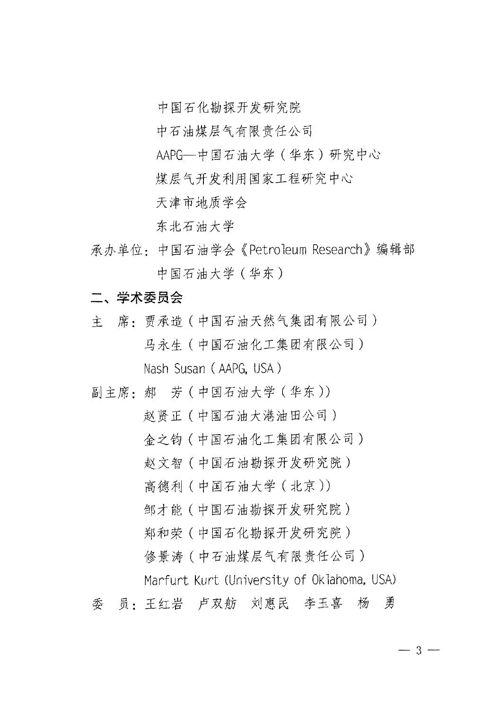中国石化勘探开发研究院

中石油煤层气有限责任公司

AAPG-中国石油大学(华东)研究中心

煤层气开发利用国家工程研究中心

天津市地质学会

东北石油大学

承办单位: 中国石油学会《Petroleum Research》编辑部 中国石油大学 (华东)

## 二、学术委员会

- 主 席: 贾承造 (中国石油天然气集团有限公司) 马永生 (中国石油化工集团有限公司) Nash Susan (AAPG, USA)
- 副主席: 郝 芳 (中国石油大学 (华东))

赵贤正(中国石油大港油田公司)

- 金之钧 (中国石油化工集团有限公司)
- 赵文智(中国石油勘探开发研究院)

高德利 (中国石油大学 (北京))

邹才能(中国石油勘探开发研究院)

郑和荣(中国石化勘探开发研究院)

修景涛(中石油煤层气有限责任公司)

Marfurt Kurt (University of Oklahoma, USA)

 $-3-$ 

#### 员:王红岩 卢双舫 刘惠民 李玉喜 杨 勇 季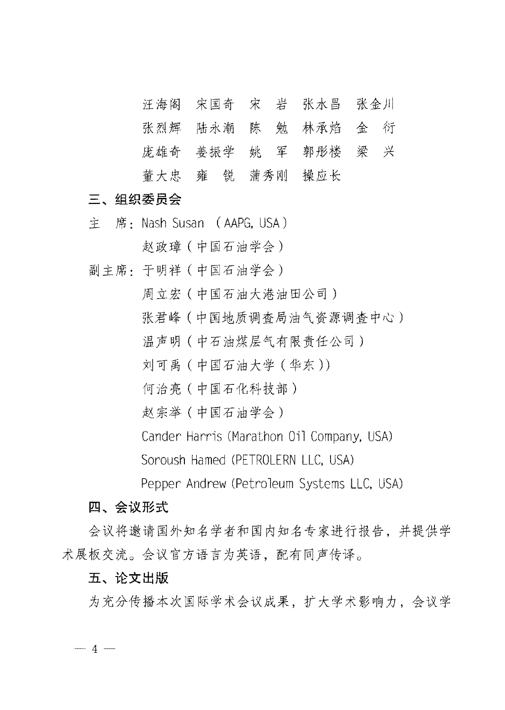汪海阁 宋国奇 宋 岩 张水昌 张金川

- 张烈辉 陆永潮 陈 勉 林承焰 金 衍
- 庞雄奇 姜振学 姚 军 郭彤楼 梁 兴
- 董大忠 雍 锐 蒲秀刚 操应长

### 三、组织委员会

主 席: Nash Susan (AAPG. USA)

赵政璋 (中国石油学会)

副主席: 于明祥 (中国石油学会)

周立宏(中国石油大港油田公司)

- 张君峰(中国地质调查局油气资源调查中心)
- 温声明 (中石油煤层气有限责任公司)
- 刘可禹 (中国石油大学 (华东))
- 何治亮 (中国石化科技部)
- 赵宗举(中国石油学会)
- Cander Harris (Marathon Oil Company, USA)

Soroush Hamed (PETROLERN LLC, USA)

Pepper Andrew (Petroleum Systems LLC, USA)

#### 四、会议形式

会议将邀请国外知名学者和国内知名专家进行报告,并提供学 术展板交流。会议官方语言为英语,配有同声传译。

#### 五、论文出版

为充分传播本次国际学术会议成果, 扩大学术影响力, 会议学